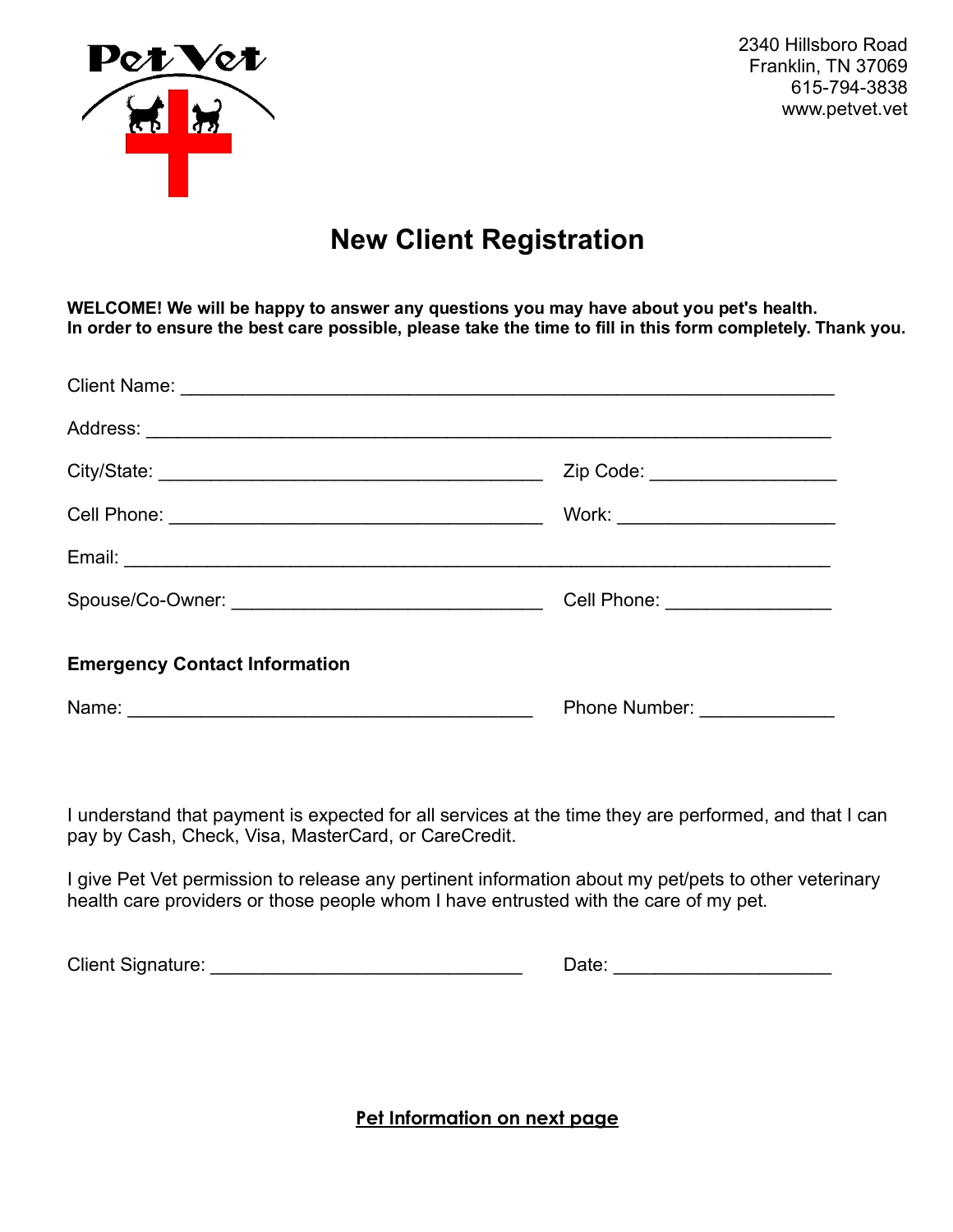

 2340 Hillsboro Road Franklin, TN 37069 615-794-3838 www.petvet.vet

# **New Client Registration**

**WELCOME! We will be happy to answer any questions you may have about you pet's health. In order to ensure the best care possible, please take the time to fill in this form completely. Thank you.** 

|                                      | Zip Code: _____________________   |
|--------------------------------------|-----------------------------------|
|                                      | Work: ___________________________ |
|                                      |                                   |
|                                      | Cell Phone: _________________     |
| <b>Emergency Contact Information</b> |                                   |
|                                      | Phone Number: ______________      |

I understand that payment is expected for all services at the time they are performed, and that I can pay by Cash, Check, Visa, MasterCard, or CareCredit.

I give Pet Vet permission to release any pertinent information about my pet/pets to other veterinary health care providers or those people whom I have entrusted with the care of my pet.

Client Signature: \_\_\_\_\_\_\_\_\_\_\_\_\_\_\_\_\_\_\_\_\_\_\_\_\_\_\_\_\_\_ Date: \_\_\_\_\_\_\_\_\_\_\_\_\_\_\_\_\_\_\_\_\_

**Pet Information on next page**